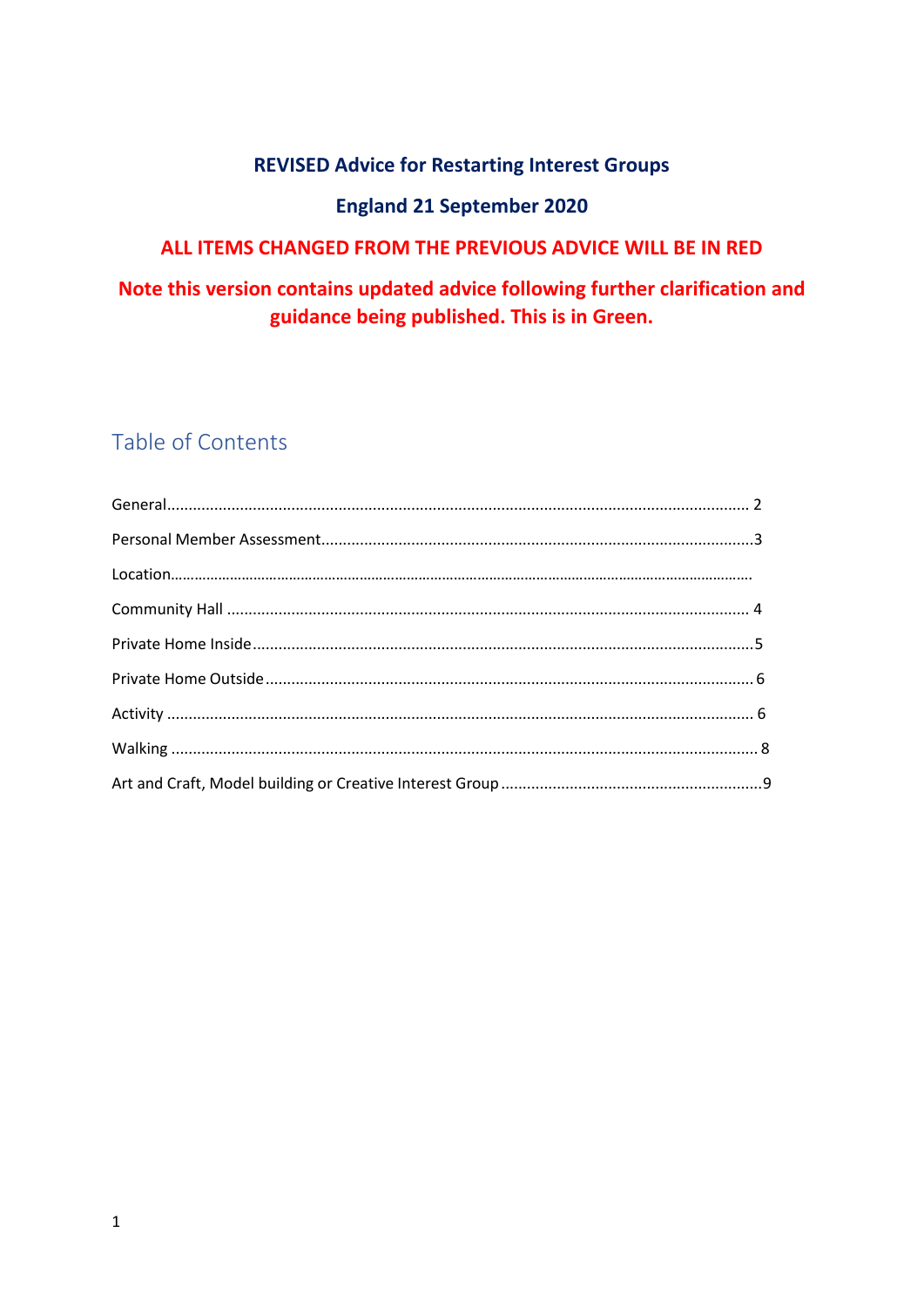## **REVISED Advice for Restarting Interest Groups**

## **England 21 September 2020**

## ALL ITEMS CHANGED FROM THE PREVIOUS ADVICE WILL BE IN RED

## Note this version contains updated advice following further clarification and guidance being published. This is in Green.

# Table of Contents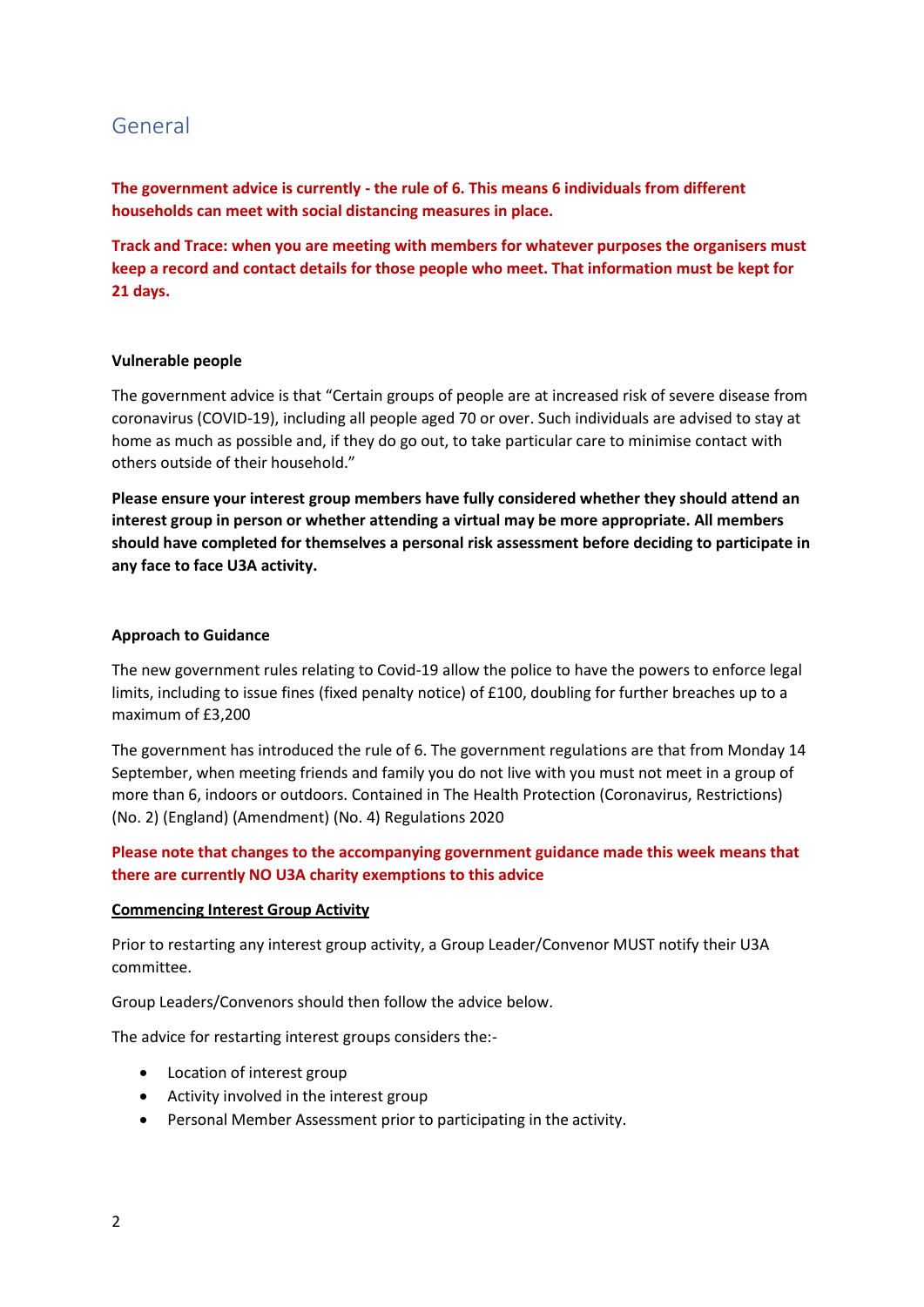## <span id="page-1-0"></span>General

**The government advice is currently - the rule of 6. This means 6 individuals from different households can meet with social distancing measures in place.**

**Track and Trace: when you are meeting with members for whatever purposes the organisers must keep a record and contact details for those people who meet. That information must be kept for 21 days.**

#### **Vulnerable people**

The government advice is that "Certain groups of people are at increased risk of severe disease from coronavirus (COVID-19), including all people aged 70 or over. Such individuals are advised to stay at home as much as possible and, if they do go out, to take particular care to minimise contact with others outside of their household."

**Please ensure your interest group members have fully considered whether they should attend an interest group in person or whether attending a virtual may be more appropriate. All members should have completed for themselves a personal risk assessment before deciding to participate in any face to face U3A activity.**

#### **Approach to Guidance**

The new government rules relating to Covid-19 allow the police to have the powers to enforce legal limits, including to issue fines (fixed penalty notice) of £100, doubling for further breaches up to a maximum of £3,200

The government has introduced the rule of 6. The government regulations are that from Monday 14 September, when meeting friends and family you do not live with you must not meet in a group of more than 6, indoors or outdoors. Contained in The Health Protection (Coronavirus, Restrictions) (No. 2) (England) (Amendment) (No. 4) Regulations 2020

#### **Please note that changes to the accompanying government guidance made this week means that there are currently NO U3A charity exemptions to this advice**

#### **Commencing Interest Group Activity**

Prior to restarting any interest group activity, a Group Leader/Convenor MUST notify their U3A committee.

Group Leaders/Convenors should then follow the advice below.

The advice for restarting interest groups considers the:-

- Location of interest group
- Activity involved in the interest group
- Personal Member Assessment prior to participating in the activity.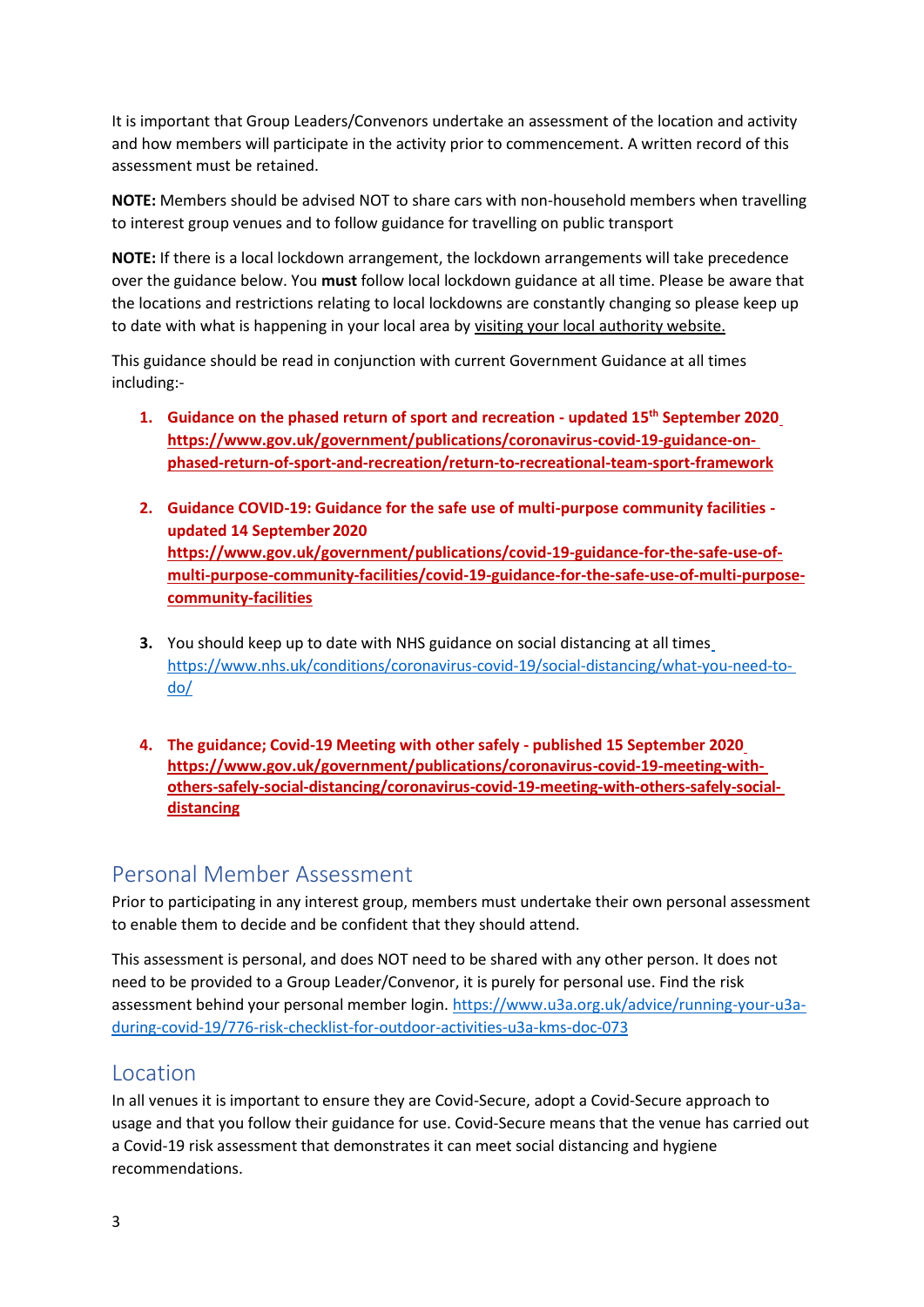It is important that Group Leaders/Convenors undertake an assessment of the location and activity and how members will participate in the activity prior to commencement. A written record of this assessment must be retained.

**NOTE:** Members should be advised NOT to share cars with non-household members when travelling to interest group venues and to follow guidance for travelling on public transport

**NOTE:** If there is a local lockdown arrangement, the lockdown arrangements will take precedence over the guidance below. You **must** follow local lockdown guidance at all time. Please be aware that the locations and restrictions relating to local lockdowns are constantly changing so please keep up to date with what is happening in your local area by visiting your local authority website.

This guidance should be read in conjunction with current Government Guidance at all times including:-

- **1. Guidance on the phased return of sport and recreation - updated 15th September 202[0](https://www.gov.uk/government/publications/coronavirus-covid-19-guidance-on-phased-return-of-sport-and-recreation/return-to-recreational-team-sport-framework) [https://www.gov.uk/government/publications/coronavirus-covid-19-guidance-on](https://www.gov.uk/government/publications/coronavirus-covid-19-guidance-on-phased-return-of-sport-and-recreation/return-to-recreational-team-sport-framework)[phased-return-of-sport-and-recreation/return-to-recreational-team-sport-framework](https://www.gov.uk/government/publications/coronavirus-covid-19-guidance-on-phased-return-of-sport-and-recreation/return-to-recreational-team-sport-framework)**
- **2. Guidance COVID-19: Guidance for the safe use of multi-purpose community facilities updated 14 September 2020 [https://www.gov.uk/government/publications/covid-19-guidance-for-the-safe-use-of](https://www.gov.uk/government/publications/covid-19-guidance-for-the-safe-use-of-multi-purpose-community-facilities/covid-19-guidance-for-the-safe-use-of-multi-purpose-community-facilities)[multi-purpose-community-facilities/covid-19-guidance-for-the-safe-use-of-multi-purpose](https://www.gov.uk/government/publications/covid-19-guidance-for-the-safe-use-of-multi-purpose-community-facilities/covid-19-guidance-for-the-safe-use-of-multi-purpose-community-facilities)[community-facilities](https://www.gov.uk/government/publications/covid-19-guidance-for-the-safe-use-of-multi-purpose-community-facilities/covid-19-guidance-for-the-safe-use-of-multi-purpose-community-facilities)**
- **3.** You should keep up to date with NHS guidance on social distancing at all time[s](https://www.nhs.uk/conditions/coronavirus-covid-19/social-distancing/what-you-need-to-do/) [https://www.nhs.uk/conditions/coronavirus-covid-19/social-distancing/what-you-need-to](https://www.nhs.uk/conditions/coronavirus-covid-19/social-distancing/what-you-need-to-do/)[do/](https://www.nhs.uk/conditions/coronavirus-covid-19/social-distancing/what-you-need-to-do/)
- **4. The guidance; Covid-19 Meeting with other safely - published 15 September 202[0](https://www.gov.uk/government/publications/coronavirus-covid-19-meeting-with-others-safely-social-distancing/coronavirus-covid-19-meeting-with-others-safely-social-distancing) [https://www.gov.uk/government/publications/coronavirus-covid-19-meeting-with](https://www.gov.uk/government/publications/coronavirus-covid-19-meeting-with-others-safely-social-distancing/coronavirus-covid-19-meeting-with-others-safely-social-distancing)[others-safely-social-distancing/coronavirus-covid-19-meeting-with-others-safely-social](https://www.gov.uk/government/publications/coronavirus-covid-19-meeting-with-others-safely-social-distancing/coronavirus-covid-19-meeting-with-others-safely-social-distancing)[distancing](https://www.gov.uk/government/publications/coronavirus-covid-19-meeting-with-others-safely-social-distancing/coronavirus-covid-19-meeting-with-others-safely-social-distancing)**

## <span id="page-2-0"></span>Personal Member Assessment

Prior to participating in any interest group, members must undertake their own personal assessment to enable them to decide and be confident that they should attend.

This assessment is personal, and does NOT need to be shared with any other person. It does not need to be provided to a Group Leader/Convenor, it is purely for personal use. Find the risk assessment behind your personal member login[. https://www.u3a.org.uk/advice/running-your-u3a](https://www.u3a.org.uk/advice/running-your-u3a-during-covid-19/776-risk-checklist-for-outdoor-activities-u3a-kms-doc-073)[during-covid-19/776-risk-checklist-for-outdoor-activities-u3a-kms-doc-073](https://www.u3a.org.uk/advice/running-your-u3a-during-covid-19/776-risk-checklist-for-outdoor-activities-u3a-kms-doc-073)

## <span id="page-2-1"></span>Location

In all venues it is important to ensure they are Covid-Secure, adopt a Covid-Secure approach to usage and that you follow their guidance for use. Covid-Secure means that the venue has carried out a Covid-19 risk assessment that demonstrates it can meet social distancing and hygiene recommendations.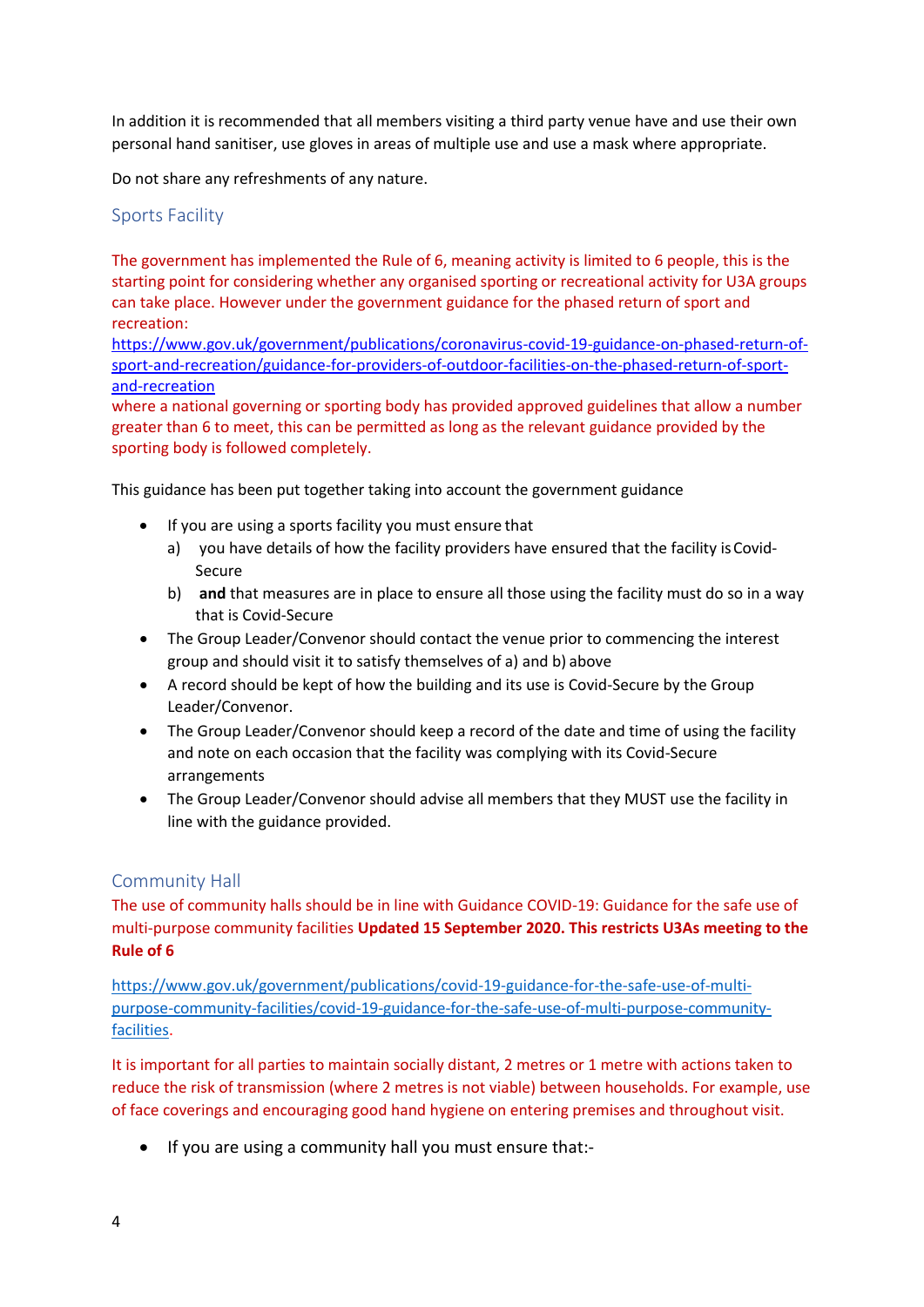In addition it is recommended that all members visiting a third party venue have and use their own personal hand sanitiser, use gloves in areas of multiple use and use a mask where appropriate.

Do not share any refreshments of any nature.

### Sports Facility

The government has implemented the Rule of 6, meaning activity is limited to 6 people, this is the starting point for considering whether any organised sporting or recreational activity for U3A groups can take place. However under the government guidance for the phased return of sport and recreation:

[https://www.gov.uk/government/publications/coronavirus-covid-19-guidance-on-phased-return-of](https://www.gov.uk/government/publications/coronavirus-covid-19-guidance-on-phased-return-of-sport-and-recreation/guidance-for-providers-of-outdoor-facilities-on-the-phased-return-of-sport-and-recreation)[sport-and-recreation/guidance-for-providers-of-outdoor-facilities-on-the-phased-return-of-sport](https://www.gov.uk/government/publications/coronavirus-covid-19-guidance-on-phased-return-of-sport-and-recreation/guidance-for-providers-of-outdoor-facilities-on-the-phased-return-of-sport-and-recreation)[and-recreation](https://www.gov.uk/government/publications/coronavirus-covid-19-guidance-on-phased-return-of-sport-and-recreation/guidance-for-providers-of-outdoor-facilities-on-the-phased-return-of-sport-and-recreation)

where a national governing or sporting body has provided approved guidelines that allow a number greater than 6 to meet, this can be permitted as long as the relevant guidance provided by the sporting body is followed completely.

This guidance has been put together taking into account the government guidance

- If you are using a sports facility you must ensure that
	- a) you have details of how the facility providers have ensured that the facility is Covid-Secure
	- b) **and** that measures are in place to ensure all those using the facility must do so in a way that is Covid-Secure
- The Group Leader/Convenor should contact the venue prior to commencing the interest group and should visit it to satisfy themselves of a) and b) above
- A record should be kept of how the building and its use is Covid-Secure by the Group Leader/Convenor.
- The Group Leader/Convenor should keep a record of the date and time of using the facility and note on each occasion that the facility was complying with its Covid-Secure arrangements
- The Group Leader/Convenor should advise all members that they MUST use the facility in line with the guidance provided.

#### <span id="page-3-0"></span>Community Hall

The use of community halls should be in line with Guidance COVID-19: Guidance for the safe use of multi-purpose community facilities **Updated 15 September 2020. This restricts U3As meeting to the Rule of 6**

[https://www.gov.uk/government/publications/covid-19-guidance-for-the-safe-use-of-multi](https://www.gov.uk/government/publications/covid-19-guidance-for-the-safe-use-of-multi-purpose-community-facilities/covid-19-guidance-for-the-safe-use-of-multi-purpose-community-facilities)[purpose-community-facilities/covid-19-guidance-for-the-safe-use-of-multi-purpose-community](https://www.gov.uk/government/publications/covid-19-guidance-for-the-safe-use-of-multi-purpose-community-facilities/covid-19-guidance-for-the-safe-use-of-multi-purpose-community-facilities)[facilities.](https://www.gov.uk/government/publications/covid-19-guidance-for-the-safe-use-of-multi-purpose-community-facilities/covid-19-guidance-for-the-safe-use-of-multi-purpose-community-facilities)

It is important for all parties to maintain socially distant, 2 metres or 1 metre with actions taken to reduce the risk of transmission (where 2 metres is not viable) between households. For example, use of face coverings and encouraging good hand hygiene on entering premises and throughout visit.

• If you are using a community hall you must ensure that:-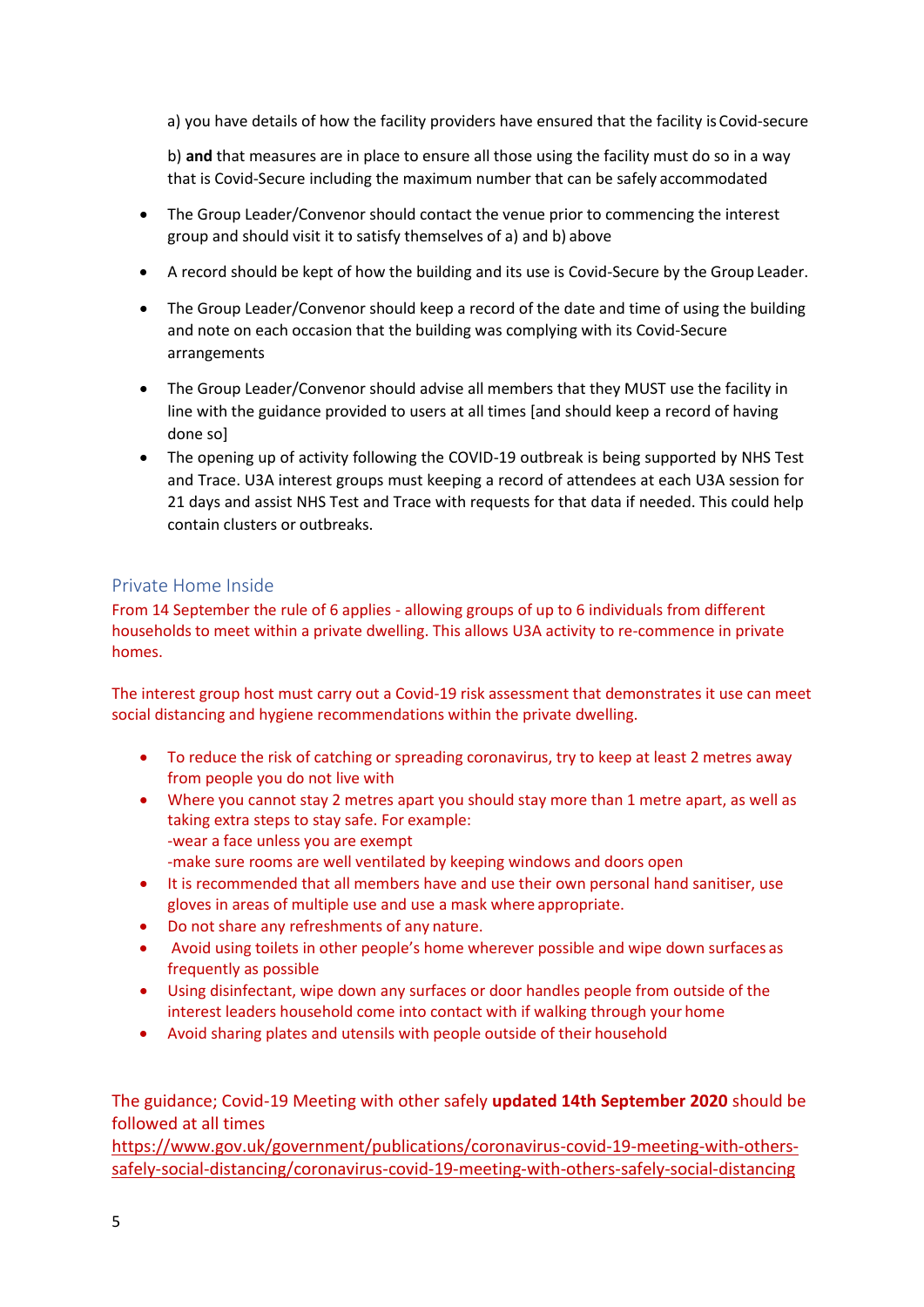a) you have details of how the facility providers have ensured that the facility isCovid-secure

b) **and** that measures are in place to ensure all those using the facility must do so in a way that is Covid-Secure including the maximum number that can be safely accommodated

- The Group Leader/Convenor should contact the venue prior to commencing the interest group and should visit it to satisfy themselves of a) and b) above
- A record should be kept of how the building and its use is Covid-Secure by the Group Leader.
- The Group Leader/Convenor should keep a record of the date and time of using the building and note on each occasion that the building was complying with its Covid-Secure arrangements
- The Group Leader/Convenor should advise all members that they MUST use the facility in line with the guidance provided to users at all times [and should keep a record of having done so]
- The opening up of activity following the COVID-19 outbreak is being supported by NHS Test and Trace. U3A interest groups must keeping a record of attendees at each U3A session for 21 days and assist NHS Test and Trace with requests for that data if needed. This could help contain clusters or outbreaks.

### <span id="page-4-0"></span>Private Home Inside

From 14 September the rule of 6 applies - allowing groups of up to 6 individuals from different households to meet within a private dwelling. This allows U3A activity to re-commence in private homes.

The interest group host must carry out a Covid-19 risk assessment that demonstrates it use can meet social distancing and hygiene recommendations within the private dwelling.

- To reduce the risk of catching or spreading coronavirus, try to keep at least 2 metres away from people you do not live with
- Where you cannot stay 2 metres apart you should stay more than 1 metre apart, as well as taking extra steps to stay safe. For example: -wear a face unless you are exempt -make sure rooms are well ventilated by keeping windows and doors open
- It is recommended that all members have and use their own personal hand sanitiser, use gloves in areas of multiple use and use a mask where appropriate.
- Do not share any refreshments of any nature.
- Avoid using toilets in other people's home wherever possible and wipe down surfaces as frequently as possible
- Using disinfectant, wipe down any surfaces or door handles people from outside of the interest leaders household come into contact with if walking through your home
- Avoid sharing plates and utensils with people outside of their household

### The guidance; Covid-19 Meeting with other safely **updated 14th September 2020** should be followed at all times

[https://www.gov.uk/government/publications/coronavirus-covid-19-meeting-with-others](https://www.gov.uk/government/publications/coronavirus-covid-19-meeting-with-others-safely-social-distancing/coronavirus-covid-19-meeting-with-others-safely-social-distancing)[safely-social-distancing/coronavirus-covid-19-meeting-with-others-safely-social-distancing](https://www.gov.uk/government/publications/coronavirus-covid-19-meeting-with-others-safely-social-distancing/coronavirus-covid-19-meeting-with-others-safely-social-distancing)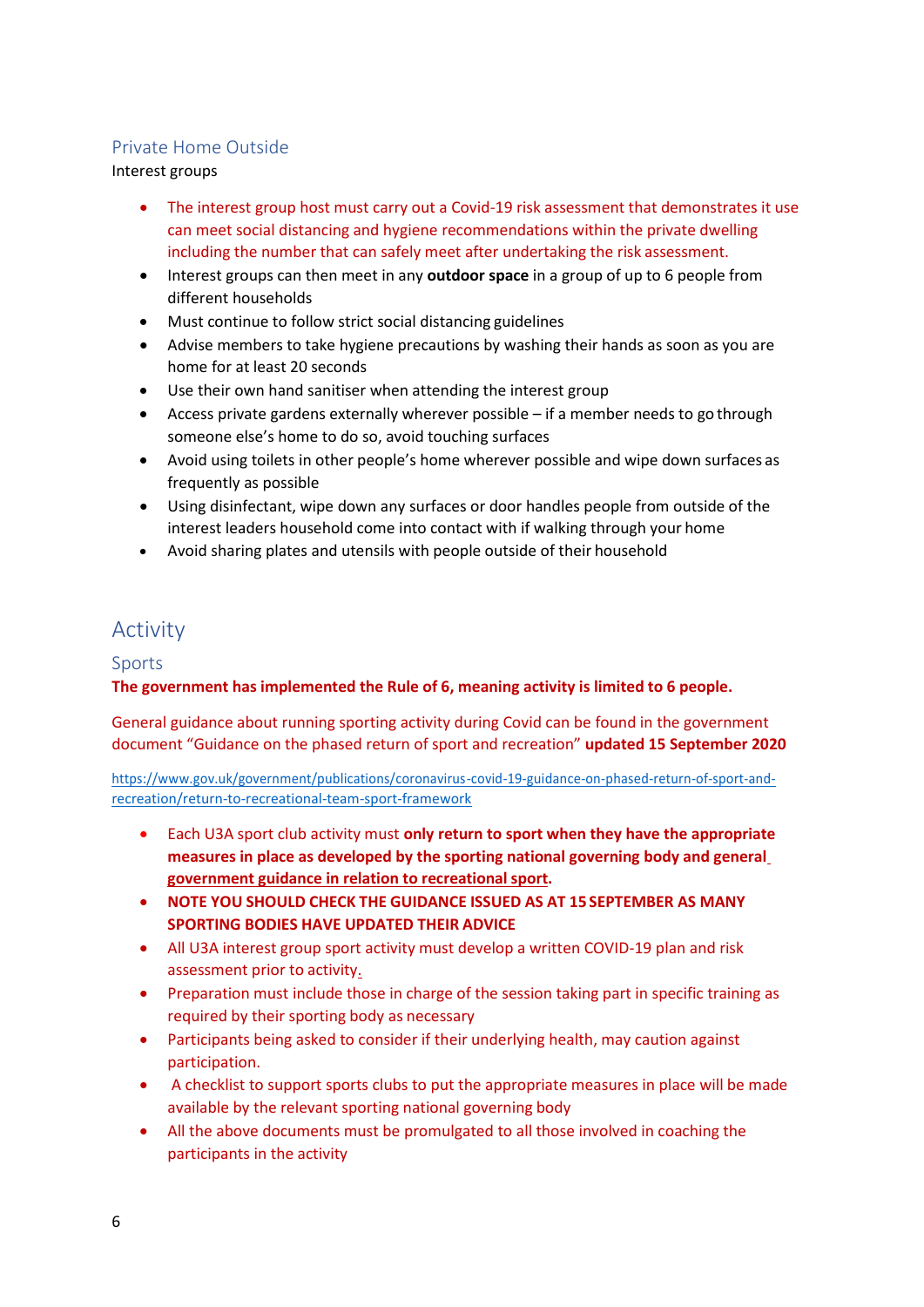### <span id="page-5-0"></span>Private Home Outside

Interest groups

- The interest group host must carry out a Covid-19 risk assessment that demonstrates it use can meet social distancing and hygiene recommendations within the private dwelling including the number that can safely meet after undertaking the risk assessment.
- Interest groups can then meet in any **outdoor space** in a group of up to 6 people from different households
- Must continue to follow strict social distancing guidelines
- Advise members to take hygiene precautions by washing their hands as soon as you are home for at least 20 seconds
- Use their own hand sanitiser when attending the interest group
- Access private gardens externally wherever possible if a member needs to go through someone else's home to do so, avoid touching surfaces
- Avoid using toilets in other people's home wherever possible and wipe down surfaces as frequently as possible
- Using disinfectant, wipe down any surfaces or door handles people from outside of the interest leaders household come into contact with if walking through your home
- Avoid sharing plates and utensils with people outside of their household

# <span id="page-5-1"></span>Activity

#### Sports

**The government has implemented the Rule of 6, meaning activity is limited to 6 people.**

General guidance about running sporting activity during Covid can be found in the government document "Guidance on the phased return of sport and recreation" **updated 15 September 2020**

[https://www.gov.uk/government/publications/coronavirus-covid-19-guidance-on-phased-return-of-sport-and](https://www.gov.uk/government/publications/coronavirus-covid-19-guidance-on-phased-return-of-sport-and-recreation/return-to-recreational-team-sport-framework)[recreation/return-to-recreational-team-sport-framework](https://www.gov.uk/government/publications/coronavirus-covid-19-guidance-on-phased-return-of-sport-and-recreation/return-to-recreational-team-sport-framework)

- Each U3A sport club activity must **only return to sport when they have the appropriate measures in place as developed by the sporting national governing body and genera[l](https://www.gov.uk/government/publications/coronavirus-covid-19-guidance-on-phased-return-of-sport-and-recreation) [government guidance in relation to recreational](https://www.gov.uk/government/publications/coronavirus-covid-19-guidance-on-phased-return-of-sport-and-recreation) sport.**
- **NOTE YOU SHOULD CHECK THE GUIDANCE ISSUED AS AT 15 SEPTEMBER AS MANY SPORTING BODIES HAVE UPDATED THEIR ADVICE**
- All U3A interest group sport activity must develop a written COVID-19 plan and risk assessment prior to activity.
- Preparation must include those in charge of the session taking part in specific training as required by their sporting body as necessary
- Participants being asked to consider if their underlying health, may caution against participation.
- A checklist to support sports clubs to put the appropriate measures in place will be made available by the relevant sporting national governing body
- All the above documents must be promulgated to all those involved in coaching the participants in the activity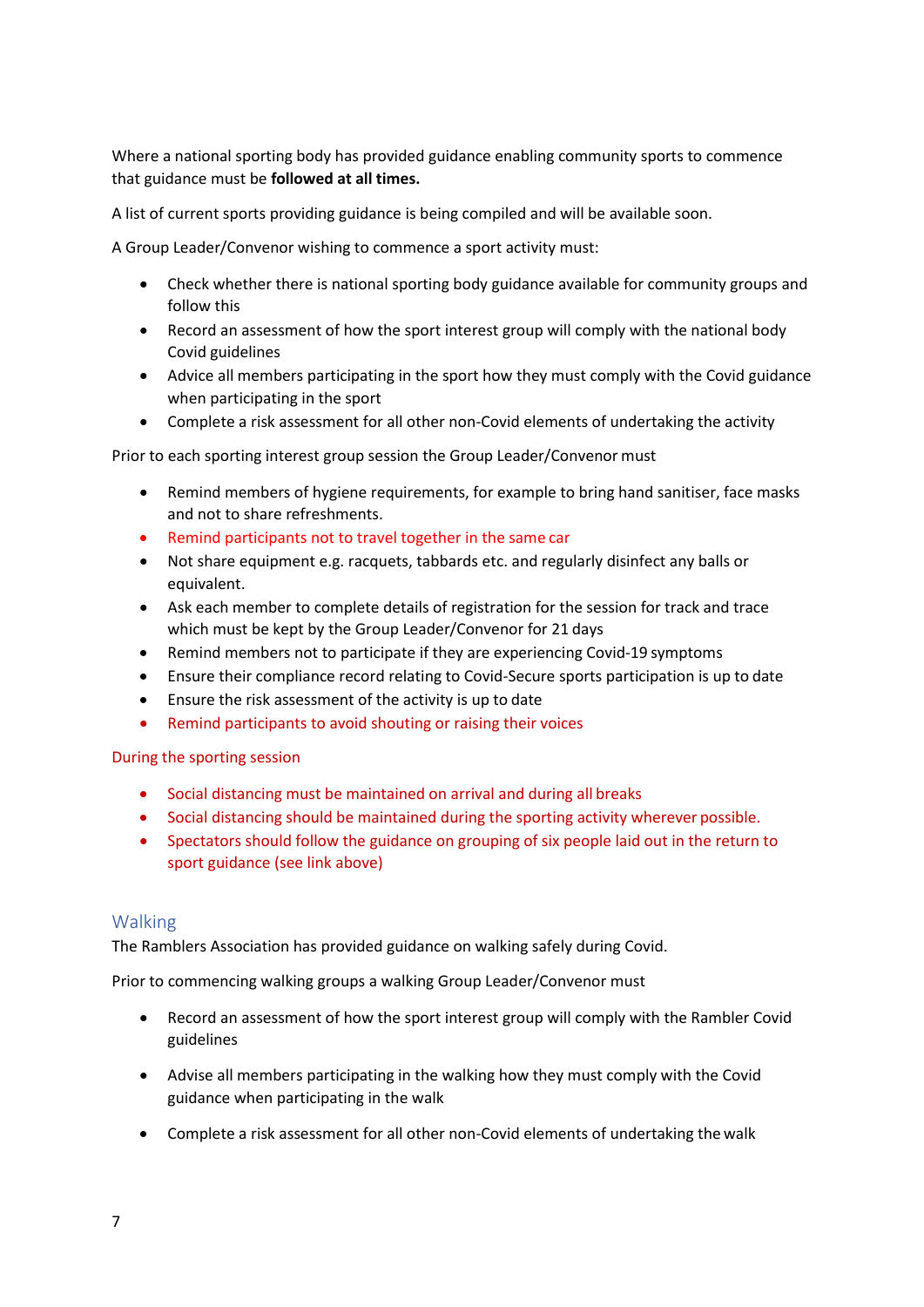Where a national sporting body has provided guidance enabling community sports to commence that guidance must be **followed at all times.**

A list of current sports providing guidance is being compiled and will be available soon.

A Group Leader/Convenor wishing to commence a sport activity must:

- Check whether there is national sporting body guidance available for community groups and follow this
- Record an assessment of how the sport interest group will comply with the national body Covid guidelines
- Advice all members participating in the sport how they must comply with the Covid guidance when participating in the sport
- Complete a risk assessment for all other non-Covid elements of undertaking the activity

Prior to each sporting interest group session the Group Leader/Convenor must

- Remind members of hygiene requirements, for example to bring hand sanitiser, face masks and not to share refreshments.
- Remind participants not to travel together in the same car
- Not share equipment e.g. racquets, tabbards etc. and regularly disinfect any balls or equivalent.
- Ask each member to complete details of registration for the session for track and trace which must be kept by the Group Leader/Convenor for 21 days
- Remind members not to participate if they are experiencing Covid-19 symptoms
- Ensure their compliance record relating to Covid-Secure sports participation is up to date
- Ensure the risk assessment of the activity is up to date
- Remind participants to avoid shouting or raising their voices

During the sporting session

- Social distancing must be maintained on arrival and during all breaks
- Social distancing should be maintained during the sporting activity wherever possible.
- Spectators should follow the guidance on grouping of six people laid out in the return to sport guidance (see link above)

#### <span id="page-6-0"></span>Walking

The Ramblers Association has provided guidance on walking safely during Covid.

Prior to commencing walking groups a walking Group Leader/Convenor must

- Record an assessment of how the sport interest group will comply with the Rambler Covid guidelines
- Advise all members participating in the walking how they must comply with the Covid guidance when participating in the walk
- Complete a risk assessment for all other non-Covid elements of undertaking the walk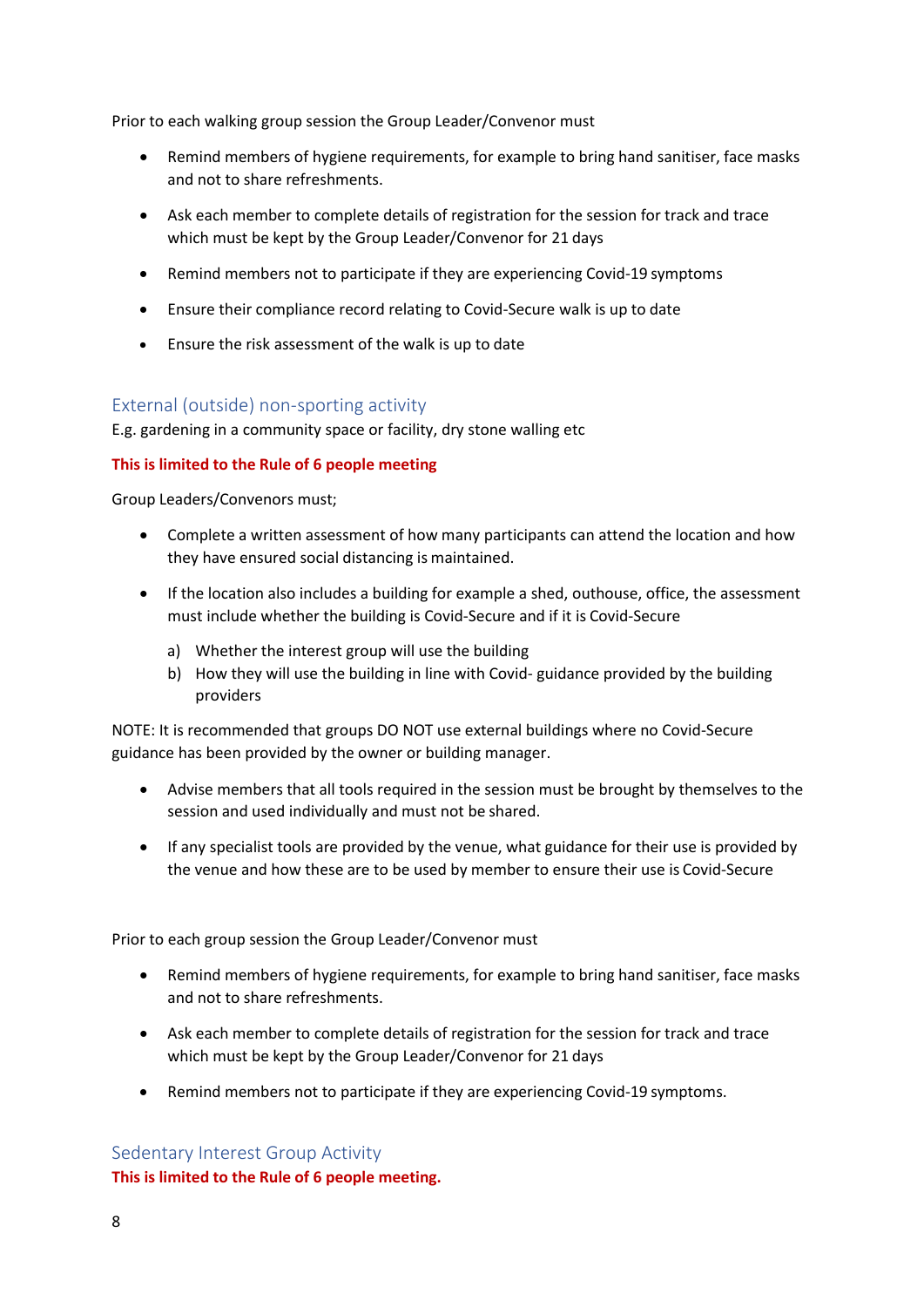Prior to each walking group session the Group Leader/Convenor must

- Remind members of hygiene requirements, for example to bring hand sanitiser, face masks and not to share refreshments.
- Ask each member to complete details of registration for the session for track and trace which must be kept by the Group Leader/Convenor for 21 days
- Remind members not to participate if they are experiencing Covid-19 symptoms
- Ensure their compliance record relating to Covid-Secure walk is up to date
- Ensure the risk assessment of the walk is up to date

#### External (outside) non-sporting activity

E.g. gardening in a community space or facility, dry stone walling etc

#### **This is limited to the Rule of 6 people meeting**

Group Leaders/Convenors must;

- Complete a written assessment of how many participants can attend the location and how they have ensured social distancing is maintained.
- If the location also includes a building for example a shed, outhouse, office, the assessment must include whether the building is Covid-Secure and if it is Covid-Secure
	- a) Whether the interest group will use the building
	- b) How they will use the building in line with Covid- guidance provided by the building providers

NOTE: It is recommended that groups DO NOT use external buildings where no Covid-Secure guidance has been provided by the owner or building manager.

- Advise members that all tools required in the session must be brought by themselves to the session and used individually and must not be shared.
- If any specialist tools are provided by the venue, what guidance for their use is provided by the venue and how these are to be used by member to ensure their use is Covid-Secure

Prior to each group session the Group Leader/Convenor must

- Remind members of hygiene requirements, for example to bring hand sanitiser, face masks and not to share refreshments.
- Ask each member to complete details of registration for the session for track and trace which must be kept by the Group Leader/Convenor for 21 days
- Remind members not to participate if they are experiencing Covid-19 symptoms.

#### Sedentary Interest Group Activity

**This is limited to the Rule of 6 people meeting.**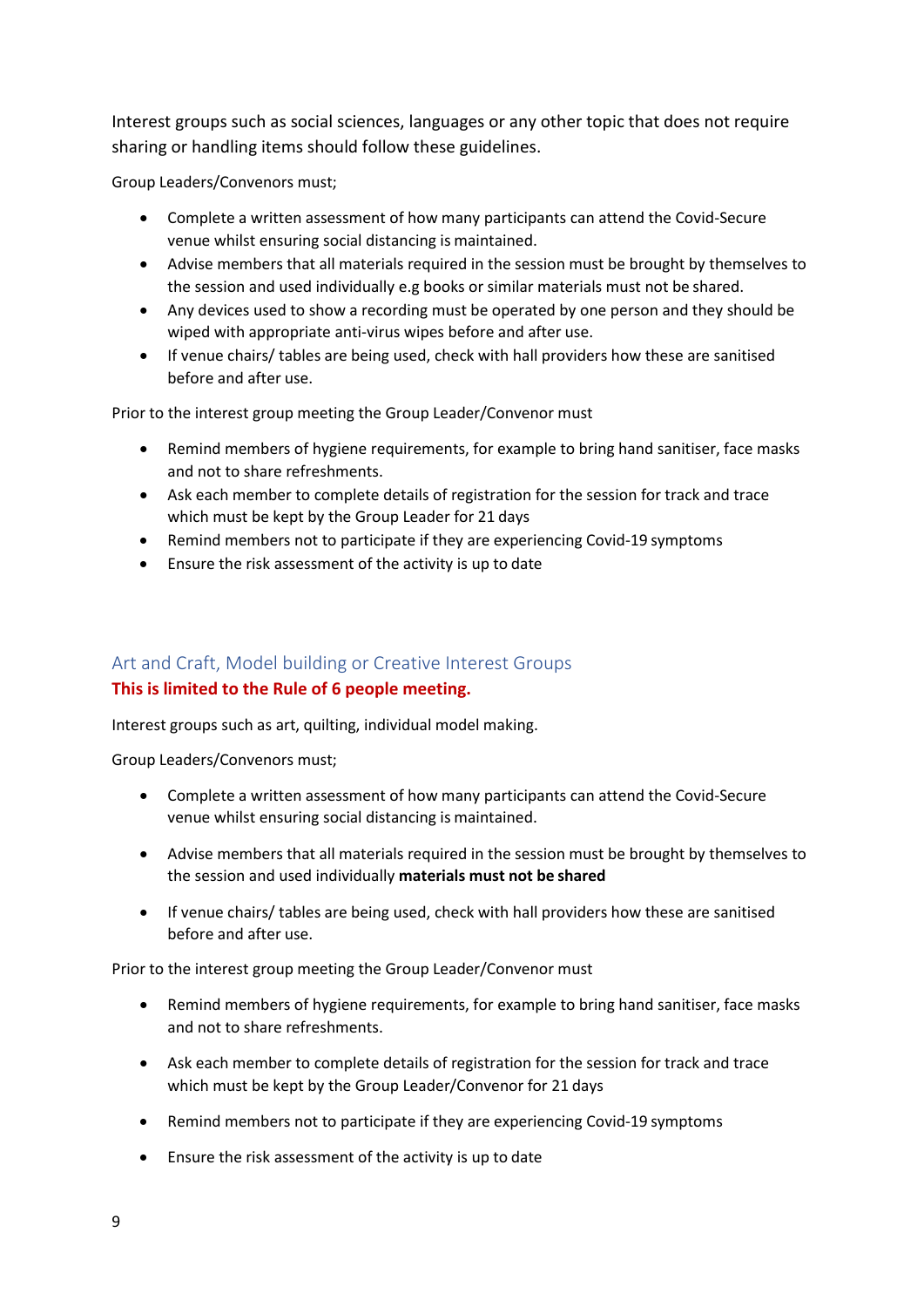Interest groups such as social sciences, languages or any other topic that does not require sharing or handling items should follow these guidelines.

Group Leaders/Convenors must;

- Complete a written assessment of how many participants can attend the Covid-Secure venue whilst ensuring social distancing is maintained.
- Advise members that all materials required in the session must be brought by themselves to the session and used individually e.g books or similar materials must not be shared.
- Any devices used to show a recording must be operated by one person and they should be wiped with appropriate anti-virus wipes before and after use.
- If venue chairs/ tables are being used, check with hall providers how these are sanitised before and after use.

Prior to the interest group meeting the Group Leader/Convenor must

- Remind members of hygiene requirements, for example to bring hand sanitiser, face masks and not to share refreshments.
- Ask each member to complete details of registration for the session for track and trace which must be kept by the Group Leader for 21 days
- Remind members not to participate if they are experiencing Covid-19 symptoms
- Ensure the risk assessment of the activity is up to date

## Art and Craft, Model building or Creative Interest Groups **This is limited to the Rule of 6 people meeting.**

Interest groups such as art, quilting, individual model making.

Group Leaders/Convenors must;

- Complete a written assessment of how many participants can attend the Covid-Secure venue whilst ensuring social distancing is maintained.
- Advise members that all materials required in the session must be brought by themselves to the session and used individually **materials must not be shared**
- If venue chairs/ tables are being used, check with hall providers how these are sanitised before and after use.

Prior to the interest group meeting the Group Leader/Convenor must

- Remind members of hygiene requirements, for example to bring hand sanitiser, face masks and not to share refreshments.
- Ask each member to complete details of registration for the session for track and trace which must be kept by the Group Leader/Convenor for 21 days
- Remind members not to participate if they are experiencing Covid-19 symptoms
- Ensure the risk assessment of the activity is up to date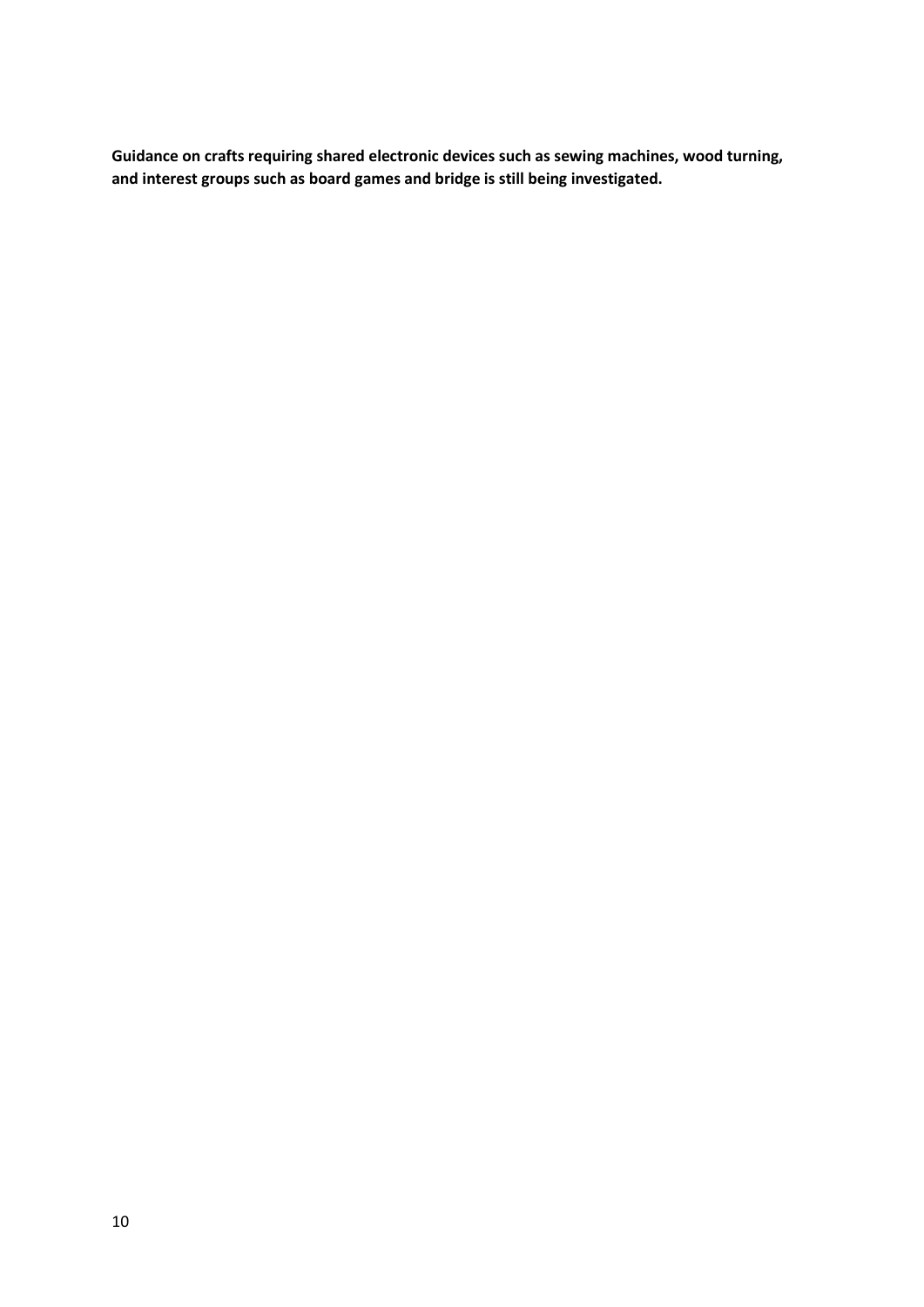**Guidance on crafts requiring shared electronic devices such as sewing machines, wood turning, and interest groups such as board games and bridge is still being investigated.**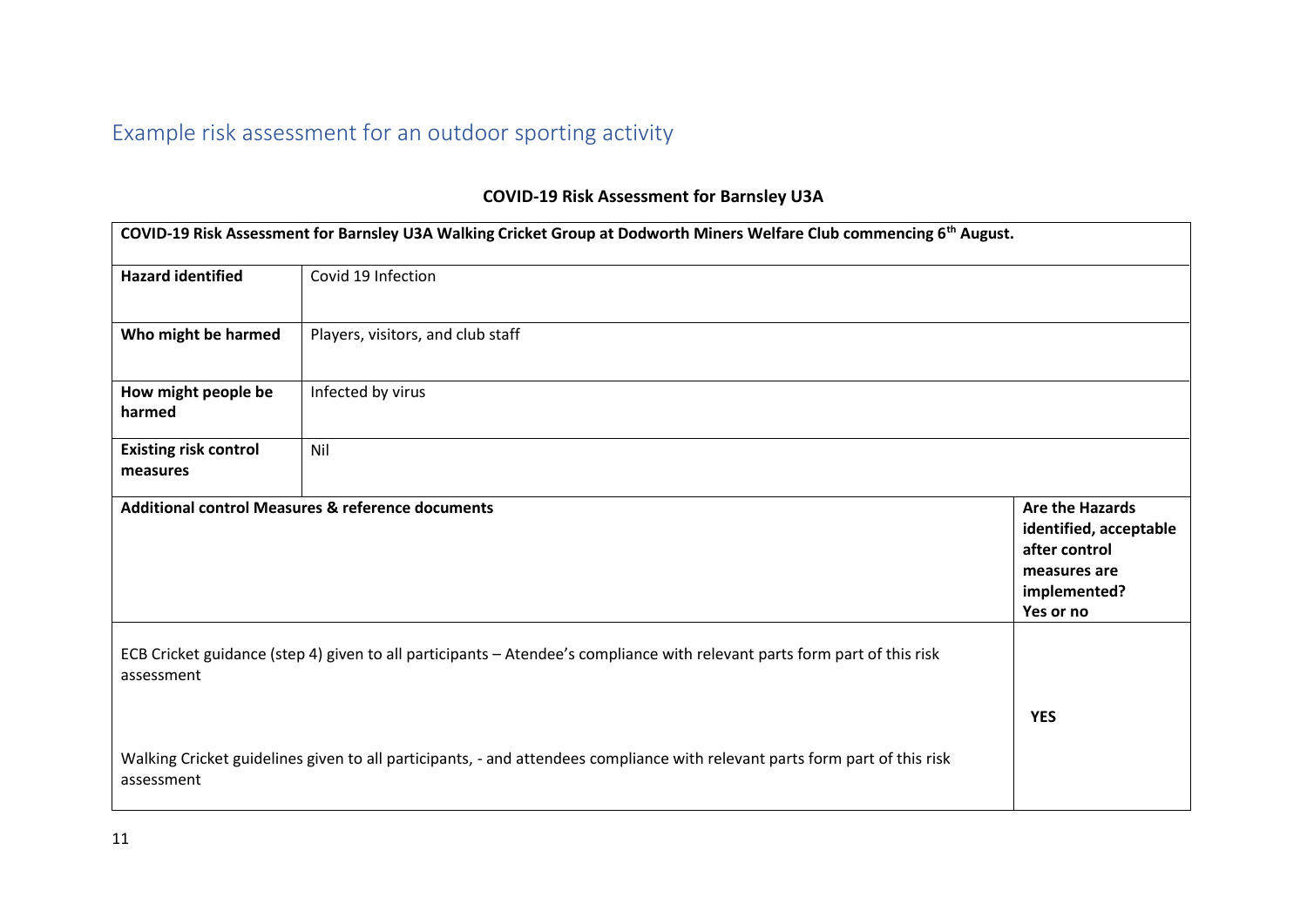# Example risk assessment for an outdoor sporting activity

## **COVID-19 Risk Assessment for Barnsley U3A**

|                                          | COVID-19 Risk Assessment for Barnsley U3A Walking Cricket Group at Dodworth Miners Welfare Club commencing 6 <sup>th</sup> August. |                                                                                                                |
|------------------------------------------|------------------------------------------------------------------------------------------------------------------------------------|----------------------------------------------------------------------------------------------------------------|
| <b>Hazard identified</b>                 | Covid 19 Infection                                                                                                                 |                                                                                                                |
| Who might be harmed                      | Players, visitors, and club staff                                                                                                  |                                                                                                                |
| How might people be<br>harmed            | Infected by virus                                                                                                                  |                                                                                                                |
| <b>Existing risk control</b><br>measures | Nil                                                                                                                                |                                                                                                                |
|                                          | <b>Additional control Measures &amp; reference documents</b>                                                                       | <b>Are the Hazards</b><br>identified, acceptable<br>after control<br>measures are<br>implemented?<br>Yes or no |
| assessment                               | ECB Cricket guidance (step 4) given to all participants - Atendee's compliance with relevant parts form part of this risk          | <b>YES</b>                                                                                                     |
| assessment                               | Walking Cricket guidelines given to all participants, - and attendees compliance with relevant parts form part of this risk        |                                                                                                                |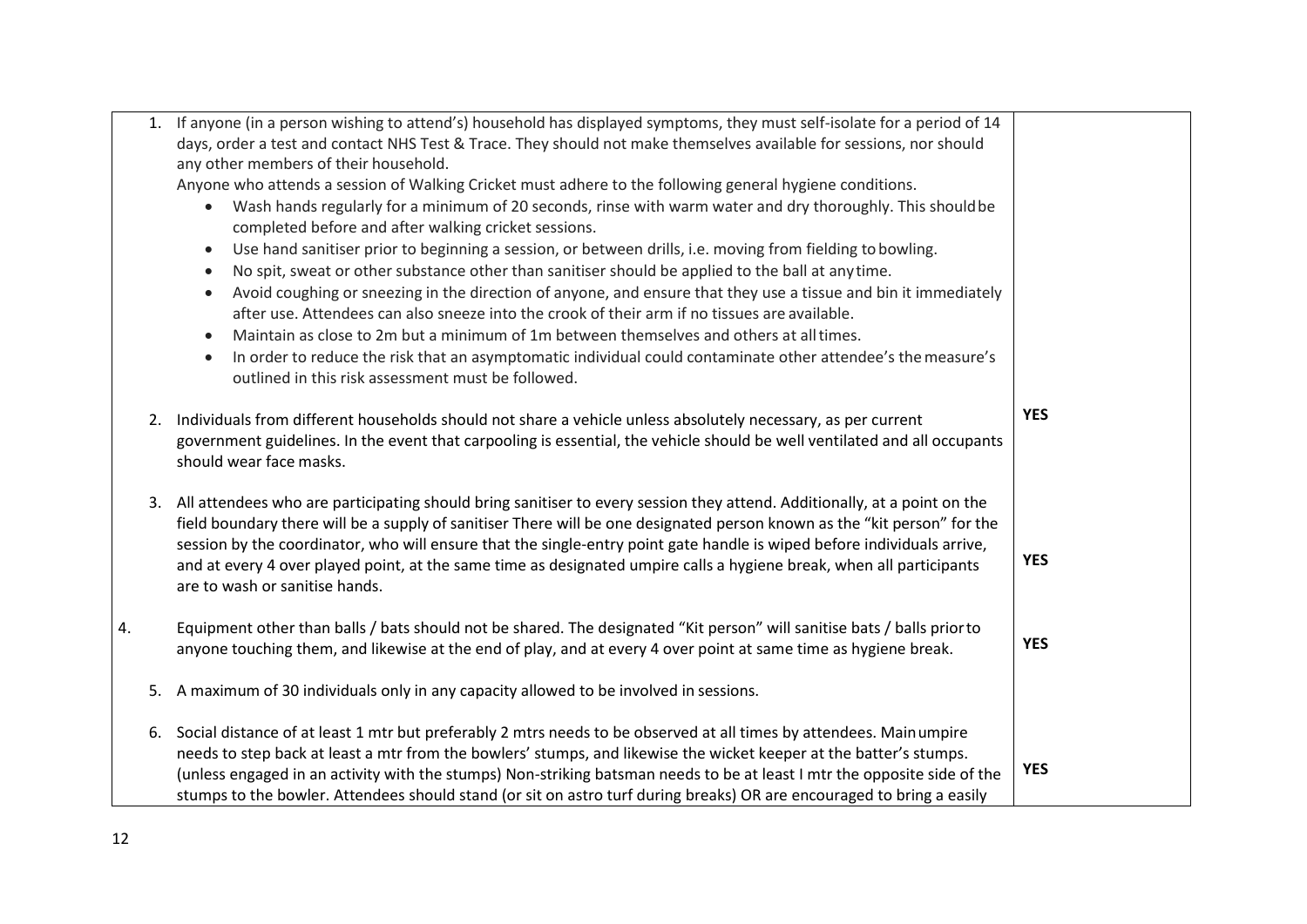|    |    | 1. If anyone (in a person wishing to attend's) household has displayed symptoms, they must self-isolate for a period of 14<br>days, order a test and contact NHS Test & Trace. They should not make themselves available for sessions, nor should<br>any other members of their household.<br>Anyone who attends a session of Walking Cricket must adhere to the following general hygiene conditions.<br>Wash hands regularly for a minimum of 20 seconds, rinse with warm water and dry thoroughly. This should be<br>$\bullet$<br>completed before and after walking cricket sessions.<br>Use hand sanitiser prior to beginning a session, or between drills, i.e. moving from fielding to bowling.<br>$\bullet$<br>No spit, sweat or other substance other than sanitiser should be applied to the ball at anytime.<br>$\bullet$<br>Avoid coughing or sneezing in the direction of anyone, and ensure that they use a tissue and bin it immediately<br>$\bullet$<br>after use. Attendees can also sneeze into the crook of their arm if no tissues are available.<br>Maintain as close to 2m but a minimum of 1m between themselves and others at all times.<br>$\bullet$<br>In order to reduce the risk that an asymptomatic individual could contaminate other attendee's the measure's<br>$\bullet$<br>outlined in this risk assessment must be followed. |            |
|----|----|------------------------------------------------------------------------------------------------------------------------------------------------------------------------------------------------------------------------------------------------------------------------------------------------------------------------------------------------------------------------------------------------------------------------------------------------------------------------------------------------------------------------------------------------------------------------------------------------------------------------------------------------------------------------------------------------------------------------------------------------------------------------------------------------------------------------------------------------------------------------------------------------------------------------------------------------------------------------------------------------------------------------------------------------------------------------------------------------------------------------------------------------------------------------------------------------------------------------------------------------------------------------------------------------------------------------------------------------------------------|------------|
|    |    | 2. Individuals from different households should not share a vehicle unless absolutely necessary, as per current<br>government guidelines. In the event that carpooling is essential, the vehicle should be well ventilated and all occupants<br>should wear face masks.                                                                                                                                                                                                                                                                                                                                                                                                                                                                                                                                                                                                                                                                                                                                                                                                                                                                                                                                                                                                                                                                                          | <b>YES</b> |
|    |    | 3. All attendees who are participating should bring sanitiser to every session they attend. Additionally, at a point on the<br>field boundary there will be a supply of sanitiser There will be one designated person known as the "kit person" for the<br>session by the coordinator, who will ensure that the single-entry point gate handle is wiped before individuals arrive,<br>and at every 4 over played point, at the same time as designated umpire calls a hygiene break, when all participants<br>are to wash or sanitise hands.                                                                                                                                                                                                                                                                                                                                                                                                                                                                                                                                                                                                                                                                                                                                                                                                                     | <b>YES</b> |
| 4. |    | Equipment other than balls / bats should not be shared. The designated "Kit person" will sanitise bats / balls prior to<br>anyone touching them, and likewise at the end of play, and at every 4 over point at same time as hygiene break.                                                                                                                                                                                                                                                                                                                                                                                                                                                                                                                                                                                                                                                                                                                                                                                                                                                                                                                                                                                                                                                                                                                       | <b>YES</b> |
|    | 5. | A maximum of 30 individuals only in any capacity allowed to be involved in sessions.                                                                                                                                                                                                                                                                                                                                                                                                                                                                                                                                                                                                                                                                                                                                                                                                                                                                                                                                                                                                                                                                                                                                                                                                                                                                             |            |
|    | 6. | Social distance of at least 1 mtr but preferably 2 mtrs needs to be observed at all times by attendees. Mainumpire<br>needs to step back at least a mtr from the bowlers' stumps, and likewise the wicket keeper at the batter's stumps.<br>(unless engaged in an activity with the stumps) Non-striking batsman needs to be at least I mtr the opposite side of the<br>stumps to the bowler. Attendees should stand (or sit on astro turf during breaks) OR are encouraged to bring a easily                                                                                                                                                                                                                                                                                                                                                                                                                                                                                                                                                                                                                                                                                                                                                                                                                                                                    | <b>YES</b> |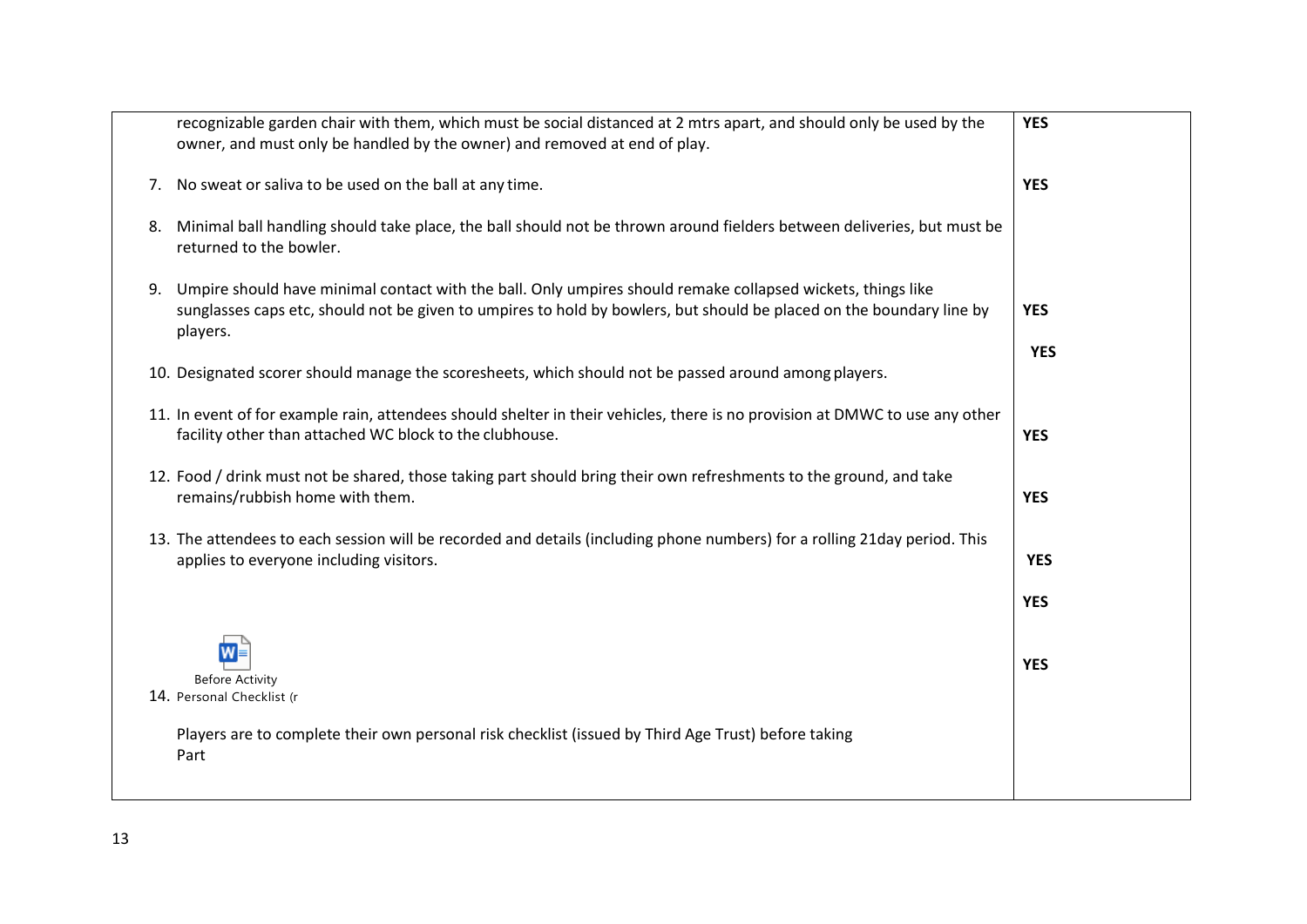|    | recognizable garden chair with them, which must be social distanced at 2 mtrs apart, and should only be used by the                                                                                                                             | <b>YES</b> |
|----|-------------------------------------------------------------------------------------------------------------------------------------------------------------------------------------------------------------------------------------------------|------------|
|    | owner, and must only be handled by the owner) and removed at end of play.                                                                                                                                                                       |            |
|    | 7. No sweat or saliva to be used on the ball at any time.                                                                                                                                                                                       | <b>YES</b> |
| 8. | Minimal ball handling should take place, the ball should not be thrown around fielders between deliveries, but must be<br>returned to the bowler.                                                                                               |            |
| 9. | Umpire should have minimal contact with the ball. Only umpires should remake collapsed wickets, things like<br>sunglasses caps etc, should not be given to umpires to hold by bowlers, but should be placed on the boundary line by<br>players. | <b>YES</b> |
|    | 10. Designated scorer should manage the scoresheets, which should not be passed around among players.                                                                                                                                           | <b>YES</b> |
|    | 11. In event of for example rain, attendees should shelter in their vehicles, there is no provision at DMWC to use any other<br>facility other than attached WC block to the clubhouse.                                                         | <b>YES</b> |
|    | 12. Food / drink must not be shared, those taking part should bring their own refreshments to the ground, and take<br>remains/rubbish home with them.                                                                                           | <b>YES</b> |
|    | 13. The attendees to each session will be recorded and details (including phone numbers) for a rolling 21day period. This<br>applies to everyone including visitors.                                                                            | <b>YES</b> |
|    |                                                                                                                                                                                                                                                 | <b>YES</b> |
|    | W<br><b>Before Activity</b><br>14. Personal Checklist (r                                                                                                                                                                                        | <b>YES</b> |
|    | Players are to complete their own personal risk checklist (issued by Third Age Trust) before taking<br>Part                                                                                                                                     |            |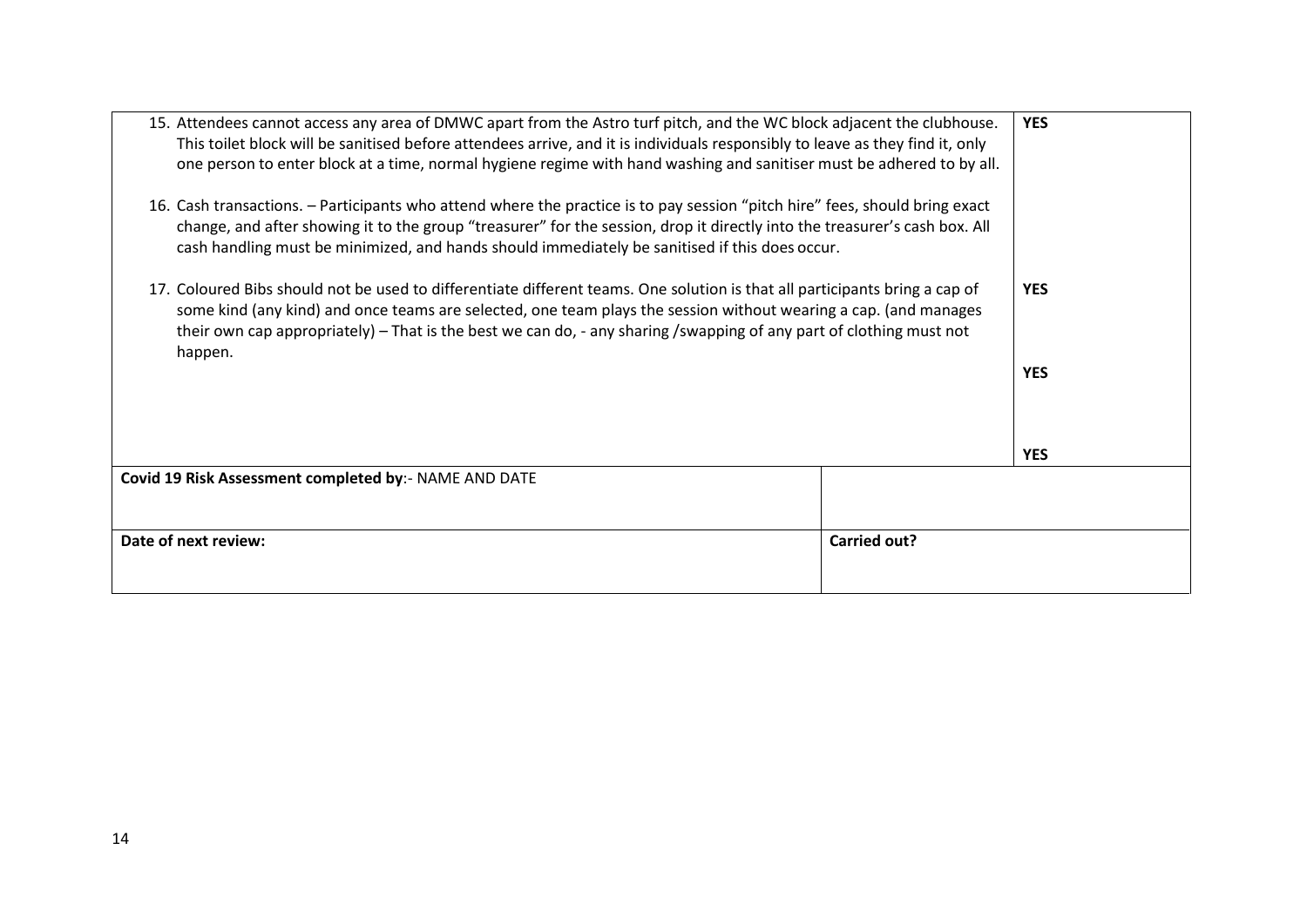| 15. Attendees cannot access any area of DMWC apart from the Astro turf pitch, and the WC block adjacent the clubhouse.<br>This toilet block will be sanitised before attendees arrive, and it is individuals responsibly to leave as they find it, only<br>one person to enter block at a time, normal hygiene regime with hand washing and sanitiser must be adhered to by all.<br>16. Cash transactions. - Participants who attend where the practice is to pay session "pitch hire" fees, should bring exact<br>change, and after showing it to the group "treasurer" for the session, drop it directly into the treasurer's cash box. All<br>cash handling must be minimized, and hands should immediately be sanitised if this does occur. |                     | <b>YES</b>               |
|-------------------------------------------------------------------------------------------------------------------------------------------------------------------------------------------------------------------------------------------------------------------------------------------------------------------------------------------------------------------------------------------------------------------------------------------------------------------------------------------------------------------------------------------------------------------------------------------------------------------------------------------------------------------------------------------------------------------------------------------------|---------------------|--------------------------|
| 17. Coloured Bibs should not be used to differentiate different teams. One solution is that all participants bring a cap of<br>some kind (any kind) and once teams are selected, one team plays the session without wearing a cap. (and manages<br>their own cap appropriately) – That is the best we can do, - any sharing /swapping of any part of clothing must not<br>happen.                                                                                                                                                                                                                                                                                                                                                               |                     | <b>YES</b><br><b>YES</b> |
|                                                                                                                                                                                                                                                                                                                                                                                                                                                                                                                                                                                                                                                                                                                                                 |                     | <b>YES</b>               |
| Covid 19 Risk Assessment completed by:- NAME AND DATE                                                                                                                                                                                                                                                                                                                                                                                                                                                                                                                                                                                                                                                                                           |                     |                          |
| Date of next review:                                                                                                                                                                                                                                                                                                                                                                                                                                                                                                                                                                                                                                                                                                                            | <b>Carried out?</b> |                          |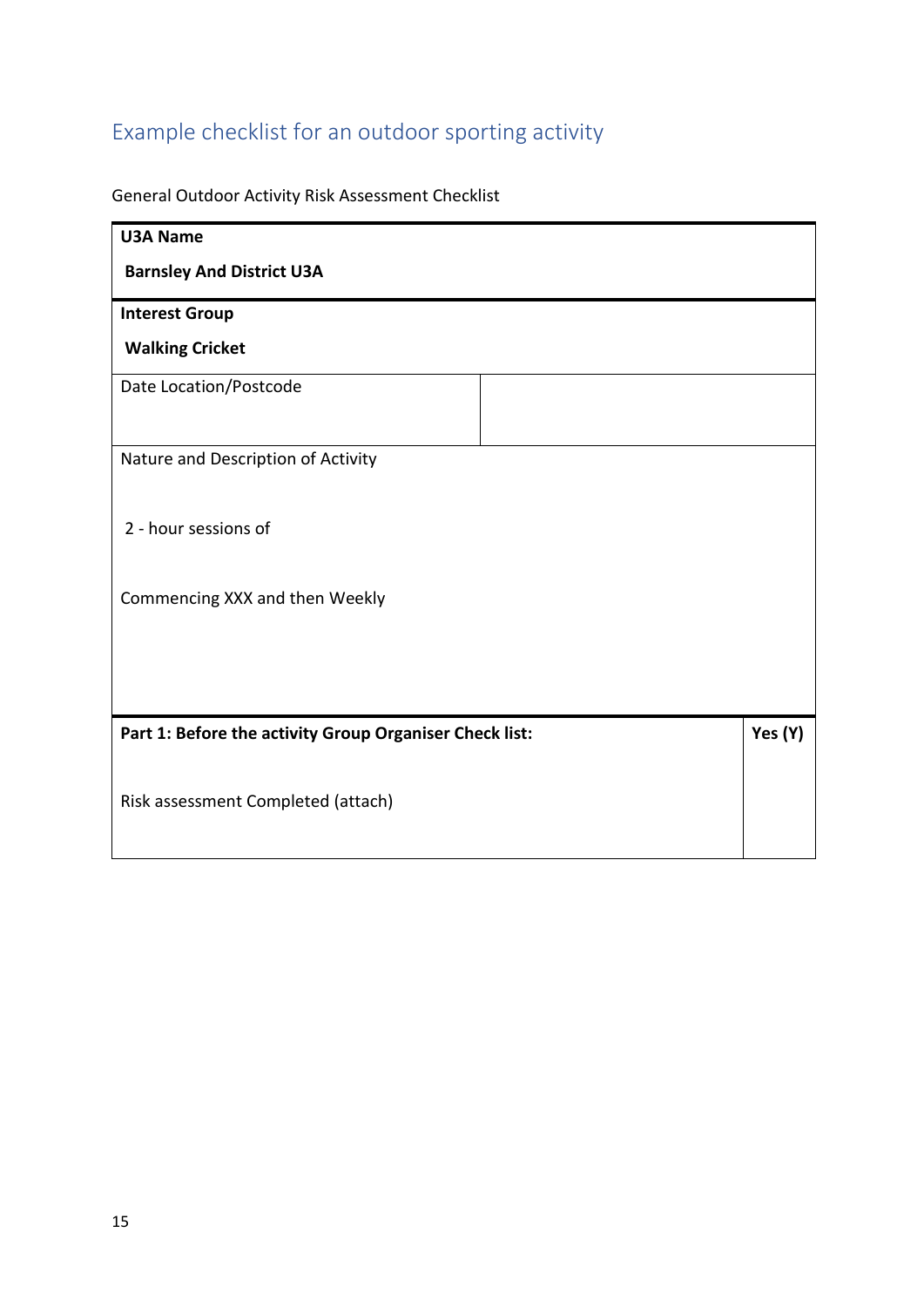# Example checklist for an outdoor sporting activity

General Outdoor Activity Risk Assessment Checklist

| <b>U3A Name</b>                                         |         |
|---------------------------------------------------------|---------|
| <b>Barnsley And District U3A</b>                        |         |
| <b>Interest Group</b>                                   |         |
| <b>Walking Cricket</b>                                  |         |
| Date Location/Postcode                                  |         |
|                                                         |         |
| Nature and Description of Activity                      |         |
|                                                         |         |
| 2 - hour sessions of                                    |         |
|                                                         |         |
| Commencing XXX and then Weekly                          |         |
|                                                         |         |
|                                                         |         |
| Part 1: Before the activity Group Organiser Check list: | Yes (Y) |
|                                                         |         |
| Risk assessment Completed (attach)                      |         |
|                                                         |         |
|                                                         |         |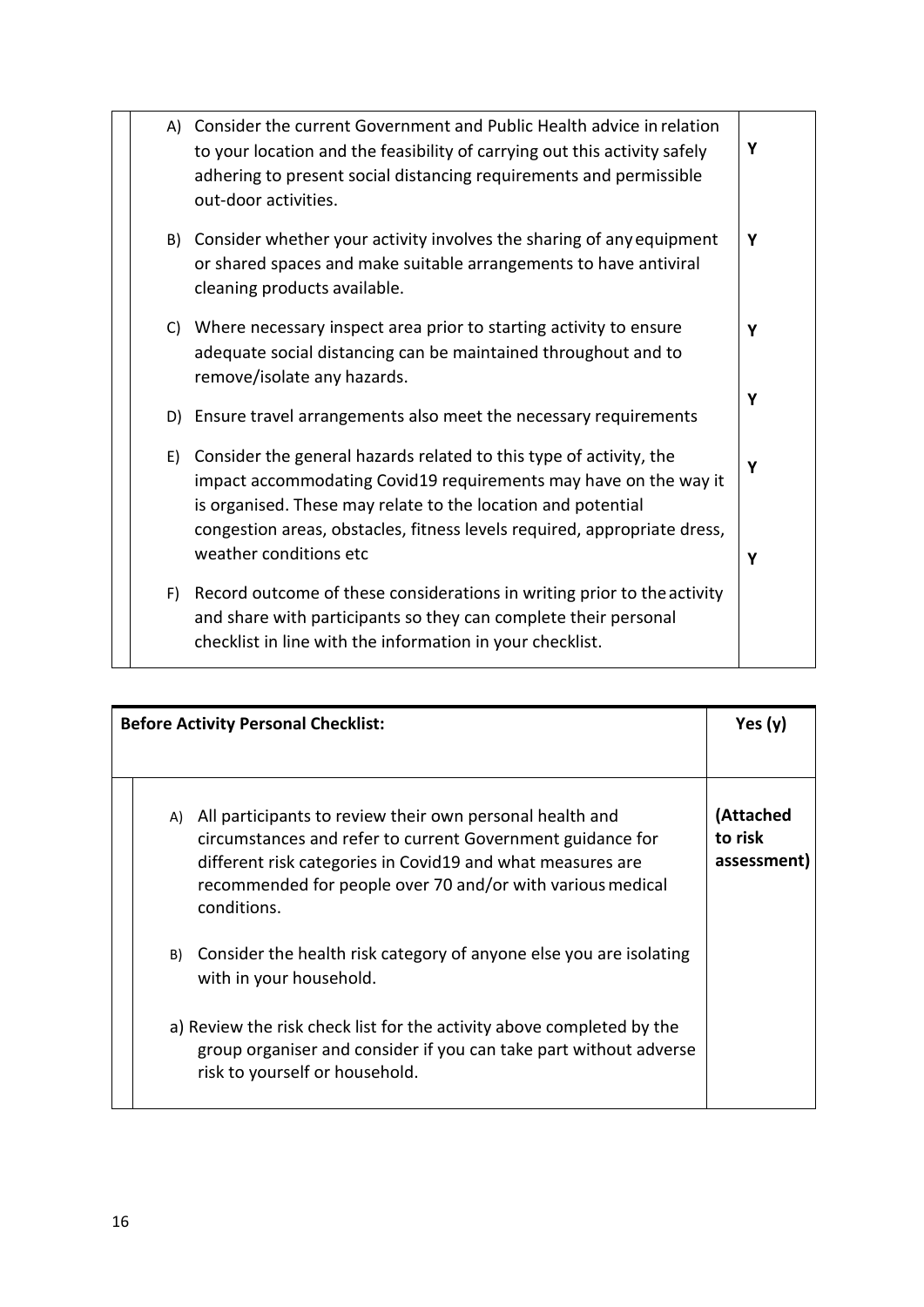|    | A) Consider the current Government and Public Health advice in relation<br>to your location and the feasibility of carrying out this activity safely<br>adhering to present social distancing requirements and permissible<br>out-door activities.                                 | Υ |
|----|------------------------------------------------------------------------------------------------------------------------------------------------------------------------------------------------------------------------------------------------------------------------------------|---|
| B) | Consider whether your activity involves the sharing of any equipment<br>or shared spaces and make suitable arrangements to have antiviral<br>cleaning products available.                                                                                                          | Y |
| C) | Where necessary inspect area prior to starting activity to ensure<br>adequate social distancing can be maintained throughout and to<br>remove/isolate any hazards.                                                                                                                 | Υ |
|    | D) Ensure travel arrangements also meet the necessary requirements                                                                                                                                                                                                                 | Y |
| E) | Consider the general hazards related to this type of activity, the<br>impact accommodating Covid19 requirements may have on the way it<br>is organised. These may relate to the location and potential<br>congestion areas, obstacles, fitness levels required, appropriate dress, | Υ |
|    | weather conditions etc                                                                                                                                                                                                                                                             | Υ |
| F) | Record outcome of these considerations in writing prior to the activity<br>and share with participants so they can complete their personal<br>checklist in line with the information in your checklist.                                                                            |   |

|  |    | <b>Before Activity Personal Checklist:</b>                                                                                                                                                                                                                        | Yes $(y)$                           |
|--|----|-------------------------------------------------------------------------------------------------------------------------------------------------------------------------------------------------------------------------------------------------------------------|-------------------------------------|
|  | A) | All participants to review their own personal health and<br>circumstances and refer to current Government guidance for<br>different risk categories in Covid19 and what measures are<br>recommended for people over 70 and/or with various medical<br>conditions. | (Attached<br>to risk<br>assessment) |
|  | B) | Consider the health risk category of anyone else you are isolating<br>with in your household.                                                                                                                                                                     |                                     |
|  |    | a) Review the risk check list for the activity above completed by the<br>group organiser and consider if you can take part without adverse<br>risk to yourself or household.                                                                                      |                                     |